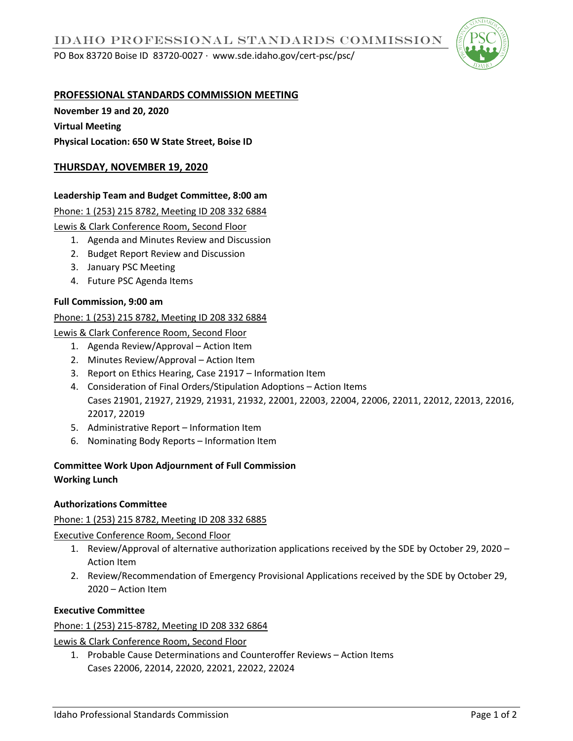PO Box 83720 Boise ID 83720-0027 ∙ www.sde.idaho.gov/cert-psc/psc/



# **PROFESSIONAL STANDARDS COMMISSION MEETING**

**November 19 and 20, 2020 Virtual Meeting** 

**Physical Location: 650 W State Street, Boise ID** 

# **THURSDAY, NOVEMBER 19, 2020**

# **Leadership Team and Budget Committee, 8:00 am**

Phone: 1 (253) 215 8782, Meeting ID 208 332 6884

Lewis & Clark Conference Room, Second Floor

- 1. Agenda and Minutes Review and Discussion
- 2. Budget Report Review and Discussion
- 3. January PSC Meeting
- 4. Future PSC Agenda Items

## **Full Commission, 9:00 am**

## Phone: 1 (253) 215 8782, Meeting ID 208 332 6884

Lewis & Clark Conference Room, Second Floor

- 1. Agenda Review/Approval Action Item
- 2. Minutes Review/Approval Action Item
- 3. Report on Ethics Hearing, Case 21917 Information Item
- 4. Consideration of Final Orders/Stipulation Adoptions Action Items Cases 21901, 21927, 21929, 21931, 21932, 22001, 22003, 22004, 22006, 22011, 22012, 22013, 22016, 22017, 22019
- 5. Administrative Report Information Item
- 6. Nominating Body Reports Information Item

#### **Committee Work Upon Adjournment of Full Commission Working Lunch**

## **Authorizations Committee**

Phone: 1 (253) 215 8782, Meeting ID 208 332 6885

Executive Conference Room, Second Floor

- 1. Review/Approval of alternative authorization applications received by the SDE by October 29, 2020 Action Item
- 2. Review/Recommendation of Emergency Provisional Applications received by the SDE by October 29, 2020 – Action Item

## **Executive Committee**

#### Phone: 1 (253) 215-8782, Meeting ID 208 332 6864

Lewis & Clark Conference Room, Second Floor

1. Probable Cause Determinations and Counteroffer Reviews – Action Items Cases 22006, 22014, 22020, 22021, 22022, 22024